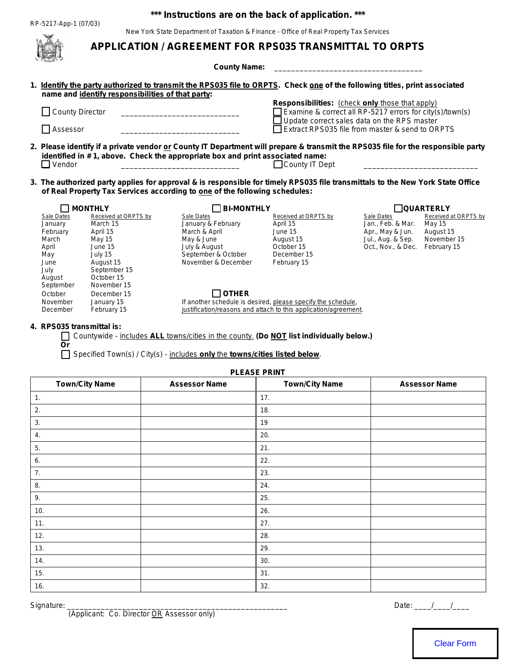## **\*\*\* Instructions are on the back of application. \*\*\***

New York State Department of Taxation & Finance - Office of Real Property Tax Services

|                                                                                                                                                                                                              |                                                   | <b>APPLICATION / AGREEMENT FOR RPS035 TRANSMITTAL TO ORPTS</b>                                                                                                        | plate Department of Taxallon & Finance - Office of Real Froperty Tax |                                                                                                                                  |
|--------------------------------------------------------------------------------------------------------------------------------------------------------------------------------------------------------------|---------------------------------------------------|-----------------------------------------------------------------------------------------------------------------------------------------------------------------------|----------------------------------------------------------------------|----------------------------------------------------------------------------------------------------------------------------------|
|                                                                                                                                                                                                              |                                                   | <b>County Name:</b>                                                                                                                                                   |                                                                      |                                                                                                                                  |
|                                                                                                                                                                                                              |                                                   |                                                                                                                                                                       |                                                                      |                                                                                                                                  |
|                                                                                                                                                                                                              | name and identify responsibilities of that party: |                                                                                                                                                                       |                                                                      | 1. Identify the party authorized to transmit the RPS035 file to ORPTS. Check one of the following titles, print associated       |
|                                                                                                                                                                                                              | □ County Director                                 |                                                                                                                                                                       |                                                                      | Responsibilities: (check only those that apply)<br>Examine & correct all RP-5217 errors for city(s)/town(s)                      |
|                                                                                                                                                                                                              | <b>∐</b> Assessor                                 |                                                                                                                                                                       |                                                                      | Update correct sales data on the RPS master<br>Extract RPS035 file from master & send to ORPTS                                   |
|                                                                                                                                                                                                              | Vendor                                            | identified in #1, above. Check the appropriate box and print associated name:                                                                                         | $\Box$ County IT Dept                                                | 2. Please identify if a private vendor or County IT Department will prepare & transmit the RPS035 file for the responsible party |
| 3. The authorized party applies for approval & is responsible for timely RPS035 file transmittals to the New York State Office<br>of Real Property Tax Services according to one of the following schedules: |                                                   |                                                                                                                                                                       |                                                                      |                                                                                                                                  |
|                                                                                                                                                                                                              | <b>MONTHLY</b>                                    | <b>BI-MONTHLY</b>                                                                                                                                                     |                                                                      | <b>QUARTERLY</b>                                                                                                                 |
|                                                                                                                                                                                                              | Sale Dates<br>Received at ORPTS by                | Sale Dates                                                                                                                                                            | Received at ORPTS by                                                 | Received at ORPTS by<br><b>Sale Dates</b>                                                                                        |
|                                                                                                                                                                                                              | January<br>March 15<br>February<br>April 15       | January & February<br>March & April                                                                                                                                   | April 15<br>June 15                                                  | Jan., Feb. & Mar.<br><b>May 15</b><br>Apr., May & Jun.<br>August 15                                                              |
|                                                                                                                                                                                                              | March<br>May 15                                   | May & June                                                                                                                                                            | August 15                                                            | November 15<br>Jul., Aug. & Sep.                                                                                                 |
|                                                                                                                                                                                                              | June 15<br>April                                  | July & August                                                                                                                                                         | October 15                                                           | Oct., Nov., & Dec.<br>February 15                                                                                                |
|                                                                                                                                                                                                              | July 15<br>May<br>August 15<br>June               | September & October<br>November & December                                                                                                                            | December 15<br>February 15                                           |                                                                                                                                  |
|                                                                                                                                                                                                              | September 15<br>July                              |                                                                                                                                                                       |                                                                      |                                                                                                                                  |
|                                                                                                                                                                                                              | October 15<br>August                              |                                                                                                                                                                       |                                                                      |                                                                                                                                  |
|                                                                                                                                                                                                              | November 15<br>September                          |                                                                                                                                                                       |                                                                      |                                                                                                                                  |
|                                                                                                                                                                                                              | October<br>December 15<br>November<br>January 15  | $\Box$ OTHER                                                                                                                                                          | If another schedule is desired, please specify the schedule,         |                                                                                                                                  |
|                                                                                                                                                                                                              | February 15<br>December                           |                                                                                                                                                                       | justification/reasons and attach to this application/agreement.      |                                                                                                                                  |
|                                                                                                                                                                                                              | 4. RPS035 transmittal is:<br><b>Or</b>            | Countywide - includes ALL towns/cities in the county. (Do NOT list individually below.)<br>Specified Town(s) / City(s) - includes only the towns/cities listed below. |                                                                      |                                                                                                                                  |
|                                                                                                                                                                                                              |                                                   |                                                                                                                                                                       | <b>PLEASE PRINT</b>                                                  |                                                                                                                                  |
|                                                                                                                                                                                                              | <b>Town/City Name</b>                             | <b>Assessor Name</b>                                                                                                                                                  | <b>Town/City Name</b>                                                | <b>Assessor Name</b>                                                                                                             |
| 1.                                                                                                                                                                                                           |                                                   |                                                                                                                                                                       | 17.                                                                  |                                                                                                                                  |
| 2.                                                                                                                                                                                                           |                                                   |                                                                                                                                                                       | 18.                                                                  |                                                                                                                                  |
| 3.                                                                                                                                                                                                           |                                                   |                                                                                                                                                                       | 19                                                                   |                                                                                                                                  |
| 4.                                                                                                                                                                                                           |                                                   |                                                                                                                                                                       | 20.                                                                  |                                                                                                                                  |
| 5.                                                                                                                                                                                                           |                                                   |                                                                                                                                                                       | 21.                                                                  |                                                                                                                                  |
| 6.                                                                                                                                                                                                           |                                                   |                                                                                                                                                                       | 22.                                                                  |                                                                                                                                  |
| 7.                                                                                                                                                                                                           |                                                   |                                                                                                                                                                       | 23.                                                                  |                                                                                                                                  |
| 8.                                                                                                                                                                                                           |                                                   |                                                                                                                                                                       | 24.                                                                  |                                                                                                                                  |
| 9.                                                                                                                                                                                                           |                                                   |                                                                                                                                                                       | 25.                                                                  |                                                                                                                                  |
| 10.                                                                                                                                                                                                          |                                                   |                                                                                                                                                                       | 26.                                                                  |                                                                                                                                  |
| 11.                                                                                                                                                                                                          |                                                   |                                                                                                                                                                       | 27.                                                                  |                                                                                                                                  |
| 12.                                                                                                                                                                                                          |                                                   |                                                                                                                                                                       | 28.                                                                  |                                                                                                                                  |
| 13.                                                                                                                                                                                                          |                                                   |                                                                                                                                                                       | 29.                                                                  |                                                                                                                                  |
| 14.                                                                                                                                                                                                          |                                                   |                                                                                                                                                                       | 30.                                                                  |                                                                                                                                  |
| 15.                                                                                                                                                                                                          |                                                   |                                                                                                                                                                       | 31.                                                                  |                                                                                                                                  |
| 16.                                                                                                                                                                                                          |                                                   |                                                                                                                                                                       | 32.                                                                  |                                                                                                                                  |

(Applicant: Co. Director OR Assessor only)

Signature: \_\_\_\_\_\_\_\_\_\_\_\_\_\_\_\_\_\_\_\_\_\_\_\_\_\_\_\_\_\_\_\_\_\_\_\_\_\_\_\_\_\_\_\_\_\_\_\_\_\_\_\_ Date: \_\_\_\_/\_\_\_\_/\_\_\_\_